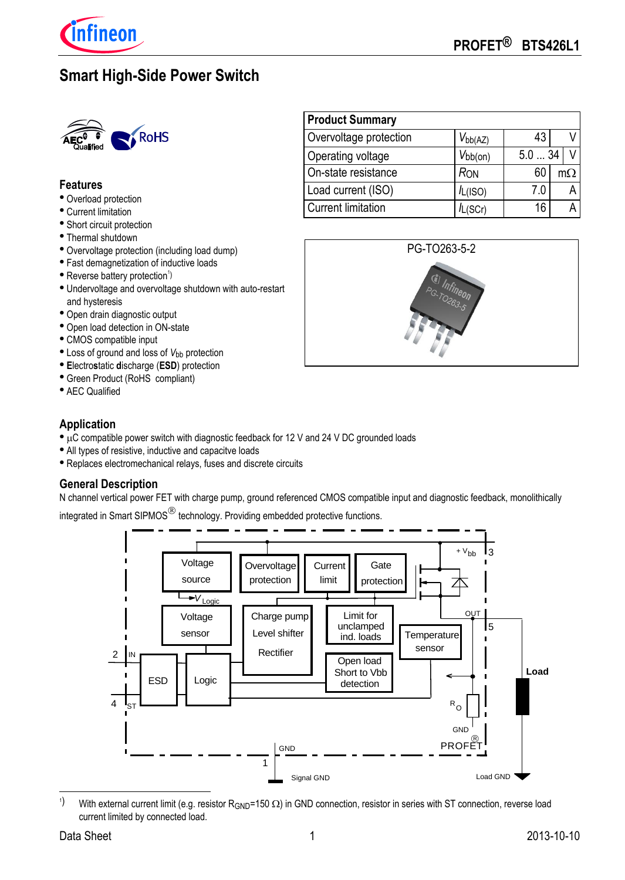

# **Smart High-Side Power Switch**



#### **Features**

- Overload protection
- Current limitation
- Short circuit protection
- Thermal shutdown
- Overvoltage protection (including load dump)
- Fast demagnetization of inductive loads
- Reverse battery protection<sup>1</sup>)
- Undervoltage and overvoltage shutdown with auto-restart and hysteresis
- Open drain diagnostic output
- Open load detection in ON-state
- CMOS compatible input
- Loss of ground and loss of *V*<sub>bb</sub> protection
- **E**lectro**s**tatic **d**ischarge (**ESD**) protection
- Green Product (RoHS compliant)
- AEC Qualified

### **Application**

- $\bullet$  µC compatible power switch with diagnostic feedback for 12 V and 24 V DC grounded loads
- All types of resistive, inductive and capacitve loads
- Replaces electromechanical relays, fuses and discrete circuits

### **General Description**

N channel vertical power FET with charge pump, ground referenced CMOS compatible input and diagnostic feedback, monolithically

integrated in Smart SIPMOS $^{\circledR}$  technology. Providing embedded protective functions.



<sup>|&</sup>lt;br>1 With external current limit (e.g. resistor R<sub>GND</sub>=150  $\Omega$ ) in GND connection, resistor in series with ST connection, reverse load current limited by connected load.

| <b>Product Summary</b>    |              |       |                |
|---------------------------|--------------|-------|----------------|
| Overvoltage protection    | $V_{bb(AZ)}$ | 43    |                |
| Operating voltage         | $V_{bb(0n)}$ | 5.034 |                |
| On-state resistance       | RON          | 60    | m <sub>O</sub> |
| Load current (ISO)        | $I_L$ (ISO)  | 7.0   |                |
| <b>Current limitation</b> | /L(SCr)      | 16    |                |

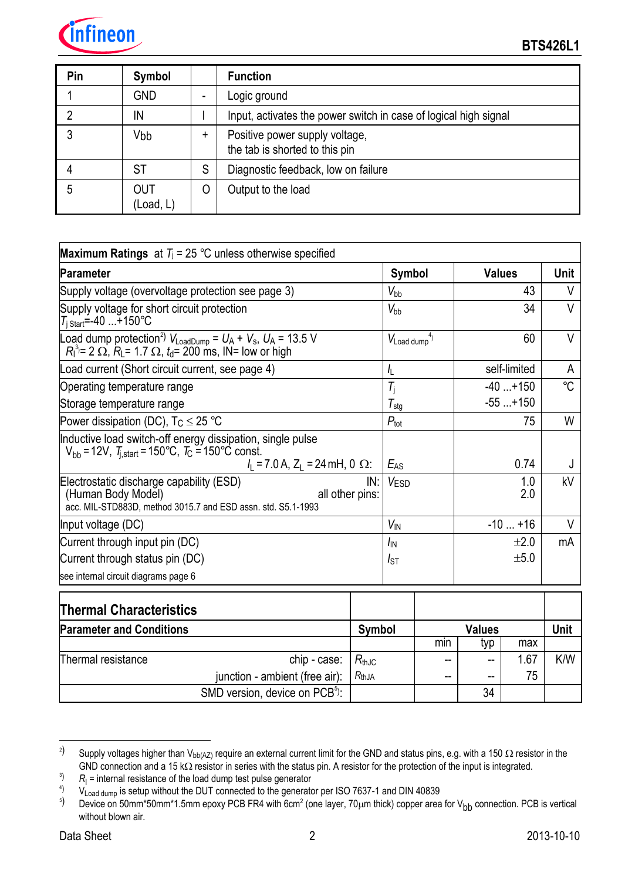

| Pin | Symbol           |   | <b>Function</b>                                                  |
|-----|------------------|---|------------------------------------------------------------------|
|     | <b>GND</b>       |   | Logic ground                                                     |
|     | IN               |   | Input, activates the power switch in case of logical high signal |
|     | Vbb              | + | Positive power supply voltage,<br>the tab is shorted to this pin |
|     | ST               | S | Diagnostic feedback, low on failure                              |
| 5   | OUT<br>(Load, L) |   | Output to the load                                               |

| <b>Maximum Ratings</b> at $T_j = 25$ °C unless otherwise specified                                                                                                                              |             |                            |          |               |              |             |
|-------------------------------------------------------------------------------------------------------------------------------------------------------------------------------------------------|-------------|----------------------------|----------|---------------|--------------|-------------|
| Parameter                                                                                                                                                                                       |             |                            | Symbol   | <b>Values</b> |              | <b>Unit</b> |
| Supply voltage (overvoltage protection see page 3)                                                                                                                                              |             |                            |          | 43            |              | V           |
| Supply voltage for short circuit protection<br>$T_{\text{i} \text{ Start}} = -40 \dots + 150^{\circ}C$                                                                                          |             | $V_{\text{bb}}$            |          | 34            |              | $\vee$      |
| Load dump protection <sup>2</sup> ) $V_{\text{LoadDump}} = U_A + V_s$ , $U_A = 13.5 \text{ V}$<br>$R_1^{3} = 2 \Omega$ , $R_1 = 1.7 \Omega$ , $t_d = 200 \text{ ms}$ , IN= low or high          |             | $V_{\text{Load dump}}^4$   |          | 60            |              | $\vee$      |
| Load current (Short circuit current, see page 4)                                                                                                                                                |             | $\mathcal{I}_{\mathsf{L}}$ |          |               | self-limited | A           |
| Operating temperature range                                                                                                                                                                     |             | $T_{i}$                    |          |               | $-40+150$    | °C          |
| Storage temperature range                                                                                                                                                                       |             | $\mathcal{T}_{\text{stg}}$ |          |               | $-55+150$    |             |
| Power dissipation (DC), $T_C \leq 25$ °C                                                                                                                                                        |             | $P_{\text{tot}}$           |          |               | 75           | W           |
| Inductive load switch-off energy dissipation, single pulse<br>$V_{\rm bb}$ = 12V, $T_{\rm i, start}$ = 150°C, $T_{\rm C}$ = 150°C const.<br>$I_1 = 7.0$ A, Z <sub>1</sub> = 24 mH, 0 $\Omega$ : |             |                            |          | 0.74          |              | J           |
| Electrostatic discharge capability (ESD)<br>IN:<br>(Human Body Model)<br>all other pins:<br>acc. MIL-STD883D, method 3015.7 and ESD assn. std. S5.1-1993                                        |             |                            |          | 1.0<br>2.0    |              | kV          |
| Input voltage (DC)                                                                                                                                                                              |             |                            |          |               | $-10+16$     | V           |
| Current through input pin (DC)                                                                                                                                                                  |             | $I_{\text{IN}}$            |          | $\pm 2.0$     |              | mA          |
| Current through status pin (DC)                                                                                                                                                                 |             |                            | $I_{ST}$ |               | ±5.0         |             |
| see internal circuit diagrams page 6                                                                                                                                                            |             |                            |          |               |              |             |
| <b>Thermal Characteristics</b>                                                                                                                                                                  |             |                            |          |               |              |             |
| <b>Parameter and Conditions</b><br>Symbol                                                                                                                                                       |             |                            |          | <b>Values</b> |              | Unit        |
|                                                                                                                                                                                                 |             |                            | min      | typ           | max          |             |
| Thermal resistance<br>chip - case:                                                                                                                                                              | $R_{th,IC}$ |                            |          |               | 1.67         | K/W         |
| junction - ambient (free air):                                                                                                                                                                  | $R_{thJA}$  |                            |          |               | 75           |             |
| SMD version, device on PCB <sup>5</sup> ):                                                                                                                                                      |             |                            |          | 34            |              |             |

 $\overline{2}$ Supply voltages higher than V<sub>bb(AZ)</sub> require an external current limit for the GND and status pins, e.g. with a 150  $\Omega$  resistor in the GND connection and a 15 k $\Omega$  resistor in series with the status pin. A resistor for the protection of the input is integrated.

<sup>3</sup>  $\mathcal{R}_{\mathsf{I}}$  = internal resistance of the load dump test pulse generator

<sup>4</sup> V<sub>Load dump</sub> is setup without the DUT connected to the generator per ISO 7637-1 and DIN 40839

<sup>5</sup> ) Device on 50mm<sup>\*</sup>50mm\*1.5mm epoxy PCB FR4 with 6cm<sup>2</sup> (one layer, 70μm thick) copper area for V<sub>bb</sub> connection. PCB is vertical without blown air.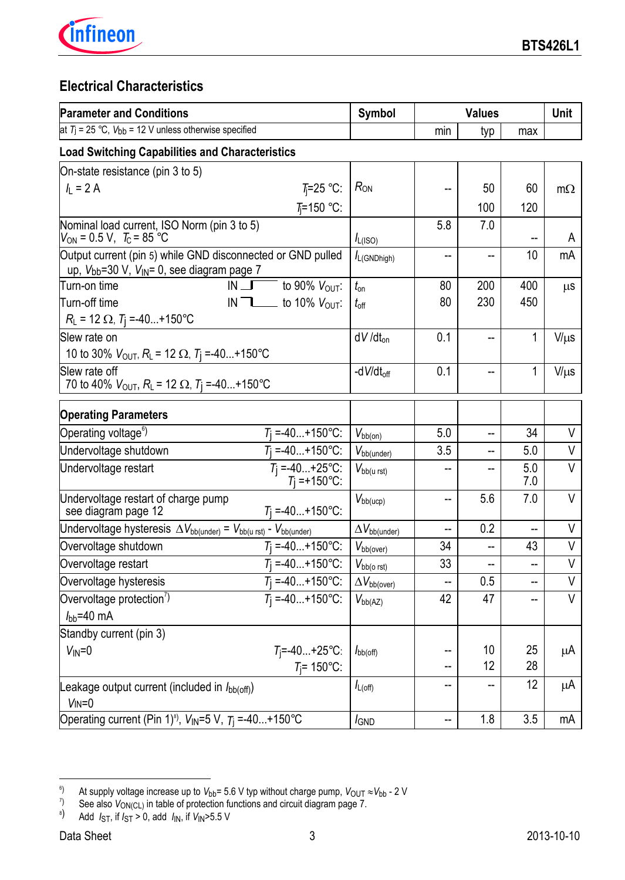

# **Electrical Characteristics**

| <b>Parameter and Conditions</b>                                                                                     | Symbol<br><b>Values</b>      |     | Unit |            |           |
|---------------------------------------------------------------------------------------------------------------------|------------------------------|-----|------|------------|-----------|
| at $T_j$ = 25 °C, $V_{bb}$ = 12 V unless otherwise specified                                                        |                              | min | typ  | max        |           |
| <b>Load Switching Capabilities and Characteristics</b>                                                              |                              |     |      |            |           |
| On-state resistance (pin 3 to 5)                                                                                    |                              |     |      |            |           |
| $T = 25$ °C:<br>$I_1 = 2 A$                                                                                         | $R_{ON}$                     |     | 50   | 60         | $m\Omega$ |
| $T = 150$ °C:                                                                                                       |                              |     | 100  | 120        |           |
| Nominal load current, ISO Norm (pin 3 to 5)                                                                         |                              | 5.8 | 7.0  |            |           |
| $V_{ON}$ = 0.5 V, $T_{C}$ = 85 °C                                                                                   | $I_{L(ISO)}$                 |     |      |            | A         |
| Output current (pin 5) while GND disconnected or GND pulled<br>up, $V_{bb}$ =30 V, $V_{IN}$ = 0, see diagram page 7 | $I_{L(GNDhigh)}$             | --  | --   | 10         | mA        |
| to 90% $V_{\text{OUT}}$ :<br>Turn-on time<br>$IN \frown$                                                            | $t_{\rm on}$                 | 80  | 200  | 400        | $\mu$ s   |
| Turn-off time<br>IN $\Box$ to 10% $V_{\text{OUT}}$ :                                                                | $t_{\text{off}}$             | 80  | 230  | 450        |           |
| $R_{L}$ = 12 $\Omega$ , $T_{I}$ =-40+150°C                                                                          |                              |     |      |            |           |
| Slew rate on                                                                                                        | $dV/dt_{on}$                 | 0.1 |      | 1          | $V/\mu s$ |
| 10 to 30% $V_{\text{OUT}}$ , $R_{\text{L}}$ = 12 $\Omega$ , $T_{\text{I}}$ =-40+150 °C                              |                              |     |      |            |           |
| Slew rate off<br>70 to 40% $V_{\text{OUT}}$ , $R_{\text{L}}$ = 12 $\Omega$ , $T_{\text{I}}$ =-40+150 °C             | -d $V/dt_{off}$              | 0.1 |      | 1          | $V/\mu s$ |
|                                                                                                                     |                              |     |      |            |           |
| <b>Operating Parameters</b>                                                                                         |                              |     |      |            |           |
| Operating voltage <sup>6)</sup><br>$T_1 = -40+150$ °C:                                                              | $V_{bb(on)}$                 | 5.0 | --   | 34         | V         |
| $T_1 = -40+150$ °C:<br>Undervoltage shutdown                                                                        | $V_{bb(under)}$              | 3.5 |      | 5.0        | $\vee$    |
| $T_j = -40+25°C$ :<br>$T_j = +150°C$ :<br>Undervoltage restart                                                      | $V_{bb($ u rst)              |     |      | 5.0<br>7.0 | V         |
| Undervoltage restart of charge pump<br>$T_1 = -40+150$ °C:<br>see diagram page 12                                   | $V_{bb(ucp)}$                | --  | 5.6  | 7.0        | V         |
| Undervoltage hysteresis $\Delta V_{\rm bb(under)}$ = $V_{\rm bb(u\;rst)}$ - $V_{\rm bb(under)}$                     | $\Delta V_{\rm bb (under)}$  | --  | 0.2  |            | V         |
| Overvoltage shutdown<br>$T_1 = -40+150$ °C:                                                                         | $V_{\text{bb(over)}}$        | 34  |      | 43         | $\vee$    |
| $T_1 = -40+150^{\circ}C$ :<br>Overvoltage restart                                                                   | $V_{bb(o) rst)}$             | 33  |      | --         | $\vee$    |
| Overvoltage hysteresis<br>$T$ <sub>j</sub> =-40+150°C:                                                              | $\Delta V_{\text{bb(over)}}$ | --  | 0.5  | --         | V         |
| $\frac{1}{T_1}$ =-40+150°C:<br>Overvoltage protection $\sqrt{ }$                                                    | $V_{bb(AZ)}$                 | 42  | 47   | --         | V         |
| $I_{\text{bb}}=40 \text{ mA}$                                                                                       |                              |     |      |            |           |
| Standby current (pin 3)                                                                                             |                              |     |      |            |           |
| $V_{\text{IN}}=0$<br>$T_i = -40+25^{\circ}C$ :                                                                      | $I_{\text{bb(off)}}$         | --  | 10   | 25         | μA        |
| $T_i = 150^{\circ}$ C:                                                                                              |                              | --  | 12   | 28         |           |
| Leakage output current (included in lbb(off))<br>$V_{IN}=0$                                                         | $I_{L(off)}$                 | --  |      | 12         | μA        |
| Operating current (Pin 1) <sup>8</sup> , $V_{\text{IN}} = 5 \text{ V}$ , $T_1 = -40+150^{\circ}\text{C}$            | <i>I</i> GND                 | −−  | 1.8  | $3.5\,$    | mA        |

<sup>-&</sup>lt;br>6 At supply voltage increase up to  $V_{bb}$ = 5.6 V typ without charge pump,  $V_{\text{OUT}} \approx V_{bb}$  - 2 V

<sup>7</sup> See also *V*<sub>ON(CL)</sub> in table of protection functions and circuit diagram page 7.

<sup>8)</sup> Add  $I_{ST}$ , if  $I_{ST} > 0$ , add  $I_{IN}$ , if  $V_{IN} > 5.5$  V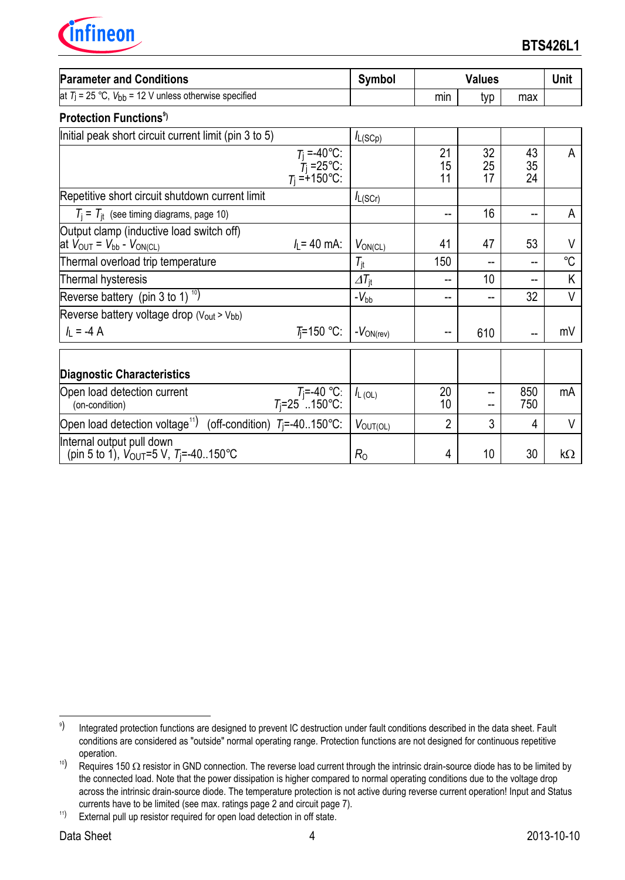

| <b>Parameter and Conditions</b>                                                                                       | Symbol                      | <b>Values</b>         |                 |                          | <b>Unit</b> |
|-----------------------------------------------------------------------------------------------------------------------|-----------------------------|-----------------------|-----------------|--------------------------|-------------|
| at $T_j$ = 25 °C, $V_{bb}$ = 12 V unless otherwise specified                                                          |                             | min                   | typ             | max                      |             |
| Protection Functions <sup>9</sup>                                                                                     |                             |                       |                 |                          |             |
| Initial peak short circuit current limit (pin 3 to 5)                                                                 | $I_{L(SCp)}$                |                       |                 |                          |             |
| $T_j = -40$ °C:<br>$T_j = 25$ °C:<br>$T_j = +150$ °C:                                                                 |                             | 21<br>15<br>11        | 32<br>25<br>17  | 43<br>35<br>24           | A           |
| Repetitive short circuit shutdown current limit                                                                       | $I_{L(SCr)}$                |                       |                 |                          |             |
| $T_i = T_{it}$ (see timing diagrams, page 10)                                                                         |                             | --                    | 16              | --                       | A           |
| Output clamp (inductive load switch off)<br>$I_1 = 40$ mA:<br>at $V_{\text{OUT}} = V_{\text{bb}} - V_{\text{ON}(CL)}$ | $V_{ON(CL)}$                | 41                    | 47              | 53                       | V           |
| Thermal overload trip temperature                                                                                     | $T_{\sf it}$                | 150                   |                 | --                       | °C          |
| Thermal hysteresis                                                                                                    | $\varDelta T_{\text{it}}$   | --                    | 10 <sup>1</sup> | --                       | K           |
| Reverse battery (pin 3 to 1) $^{10}$ )                                                                                | $-V_{bb}$                   | --                    | --              | 32                       | $\vee$      |
| Reverse battery voltage drop (Vout > Vbb)                                                                             |                             |                       |                 |                          |             |
| $T_1 = 150$ °C:<br>$I_1 = -4$ A                                                                                       | $-V_{ON(rev)}$              | --                    | 610             | $\overline{\phantom{a}}$ | mV          |
| <b>Diagnostic Characteristics</b>                                                                                     |                             |                       |                 |                          |             |
| Open load detection current<br>$T_j = -40 °C$ :<br>T <sub>j</sub> =25 150°C:<br>(on-condition)                        | $I_{L (OL)}$                | 20<br>10 <sup>1</sup> |                 | 850<br>750               | mA          |
| Open load detection voltage <sup>11</sup> )<br>(off-condition) $T_i = -40150^{\circ}C$ :                              | $V_{\text{OUT}(\text{OL})}$ | $\overline{2}$        | 3               | 4                        | V           |
| Internal output pull down<br>(pin 5 to 1), $V_{\text{OUT}} = 5 \text{ V}$ , $T_{\text{i}} = -40.150 \text{ °C}$       | $R_{\rm O}$                 | 4                     | 10 <sup>1</sup> | 30                       | kΩ          |

<sup>。&</sup>lt;br>9) Integrated protection functions are designed to prevent IC destruction under fault conditions described in the data sheet. Fault conditions are considered as "outside" normal operating range. Protection functions are not designed for continuous repetitive operation.

<sup>&</sup>lt;sup>10</sup>) Requires 150  $\Omega$  resistor in GND connection. The reverse load current through the intrinsic drain-source diode has to be limited by the connected load. Note that the power dissipation is higher compared to normal operating conditions due to the voltage drop across the intrinsic drain-source diode. The temperature protection is not active during reverse current operation! Input and Status currents have to be limited (see max. ratings page 2 and circuit page 7).

<sup>&</sup>lt;sup>11</sup>) External pull up resistor required for open load detection in off state.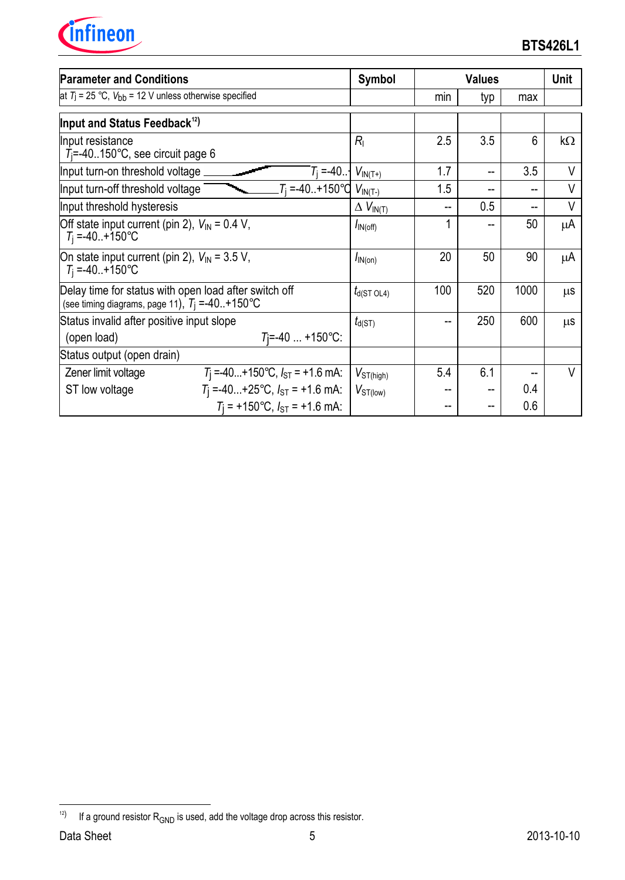

| <b>Parameter and Conditions</b>                                                           |                                                       | <b>Symbol</b>      |     | <b>Values</b> |           |         |
|-------------------------------------------------------------------------------------------|-------------------------------------------------------|--------------------|-----|---------------|-----------|---------|
| at $T_j$ = 25 °C, $V_{bb}$ = 12 V unless otherwise specified                              |                                                       |                    | min | typ           | max       |         |
| Input and Status Feedback <sup>12</sup>                                                   |                                                       |                    |     |               |           |         |
| Input resistance<br>$T_i = -40.150^{\circ}$ C, see circuit page 6                         | $R_{I}$                                               | 2.5                | 3.5 | 6             | $k\Omega$ |         |
| Input turn-on threshold voltage                                                           | $T_{i} = -40$                                         | $V_{IN(T+)}$       | 1.7 |               | 3.5       | V       |
| Input turn-off threshold voltage                                                          | $T_i = -40. + 150^{\circ}C$ $V_{IN(T-)}$              | 1.5                |     |               | V         |         |
| Input threshold hysteresis                                                                |                                                       | $\Delta V_{IN(T)}$ |     | 0.5           |           | V       |
| Off state input current (pin 2), $V_{\text{IN}}$ = 0.4 V,<br>$T_1 = -40. + 150^{\circ}$ C | $I_{\text{IN}(\text{off})}$                           | 1                  |     | 50            | μA        |         |
| On state input current (pin 2), $V_{\text{IN}}$ = 3.5 V,<br>$T_1 = -40. + 150^{\circ}$ C  | $I_{\text{IN(on)}}$                                   | 20                 | 50  | 90            | μA        |         |
| (see timing diagrams, page 11), $T_1 = -40. + 150^{\circ}$ C                              | Delay time for status with open load after switch off | $t_{d(ST OLA)}$    | 100 | 520           | 1000      | $\mu$ s |
| Status invalid after positive input slope                                                 | $t_{d(ST)}$                                           |                    | 250 | 600           | $\mu$ s   |         |
| $T = -40$ +150°C:<br>(open load)                                                          |                                                       |                    |     |               |           |         |
| Status output (open drain)                                                                |                                                       |                    |     |               |           |         |
| Zener limit voltage                                                                       | $T_1 = -40+150$ °C, $I_{ST} = +1.6$ mA:               | $V_{ST(high)}$     | 5.4 | 6.1           |           | V       |
| ST low voltage                                                                            | $T_1 = -40+25$ °C, $I_{ST} = +1.6$ mA:                | $V_{ST(low)}$      |     |               | 0.4       |         |
|                                                                                           | $T_1$ = +150°C, $I_{ST}$ = +1.6 mA:                   |                    |     |               | 0.6       |         |

 $\overline{a}$ 

 $12$ ) If a ground resistor  $R_{\text{GND}}$  is used, add the voltage drop across this resistor.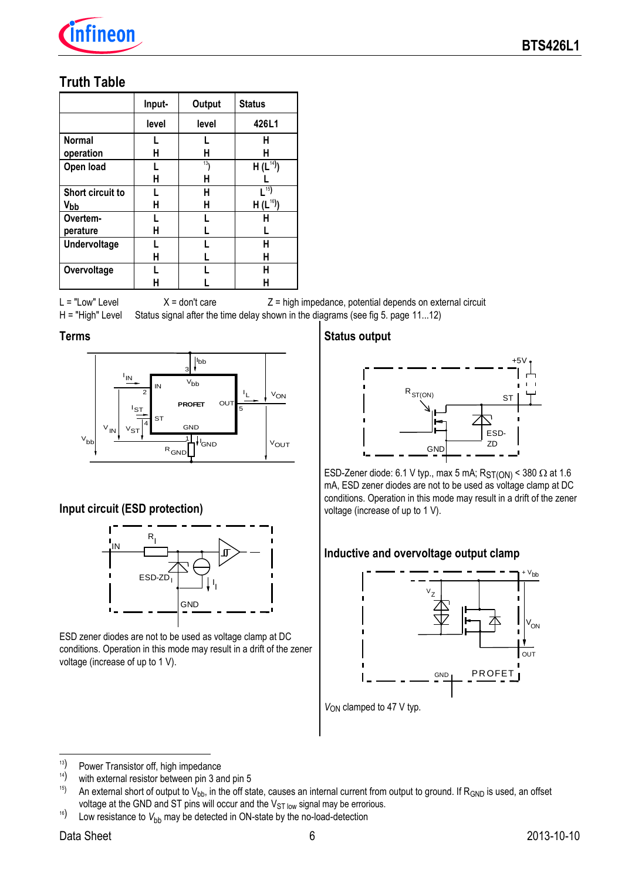

# **Truth Table**

|                  | Input- | Output          | <b>Status</b> |
|------------------|--------|-----------------|---------------|
|                  | level  | level           | 426L1         |
| <b>Normal</b>    |        |                 | н             |
| operation        | н      | н               | н             |
| Open load        |        | 13 <sub>1</sub> | $H(L^{14})$   |
|                  | н      | н               |               |
| Short circuit to |        | н               | 15)           |
| V <sub>bb</sub>  | н      | н               | $H(L^{16})$   |
| Overtem-         |        |                 | н             |
| perature         | н      |                 |               |
| Undervoltage     |        |                 | н             |
|                  | н      | L               | н             |
| Overvoltage      |        |                 | н             |
|                  | н      |                 | Н             |

 $L = "Low" Level$   $X = don't care$   $Z = high$  impedance, potential depends on external circuit H = "High" Level Status signal after the time delay shown in the diagrams (see fig 5. page 11...12)

#### **Terms**



## **Input circuit (ESD protection)**



ESD zener diodes are not to be used as voltage clamp at DC conditions. Operation in this mode may result in a drift of the zener voltage (increase of up to 1 V).

## **Status output**



ESD-Zener diode: 6.1 V typ., max 5 mA;  $RST(ON) < 380 \Omega$  at 1.6 mA, ESD zener diodes are not to be used as voltage clamp at DC conditions. Operation in this mode may result in a drift of the zener voltage (increase of up to 1 V).

## **Inductive and overvoltage output clamp**



 $13)$ <sup>13</sup>) Power Transistor off, high impedance<br><sup>14</sup>) with external resistor between nin 3 a

<sup>&</sup>lt;sup>14</sup>) with external resistor between pin 3 and pin 5<br><sup>15</sup>) An external short of output to V<sub>bb</sub> in the off sta

An external short of output to  $V_{bb}$ , in the off state, causes an internal current from output to ground. If  $R_{GND}$  is used, an offset voltage at the GND and ST pins will occur and the  $V_{ST\,low}$  signal may be errorious.

<sup>&</sup>lt;sup>16</sup>) Low resistance to  $V_{\text{bb}}$  may be detected in ON-state by the no-load-detection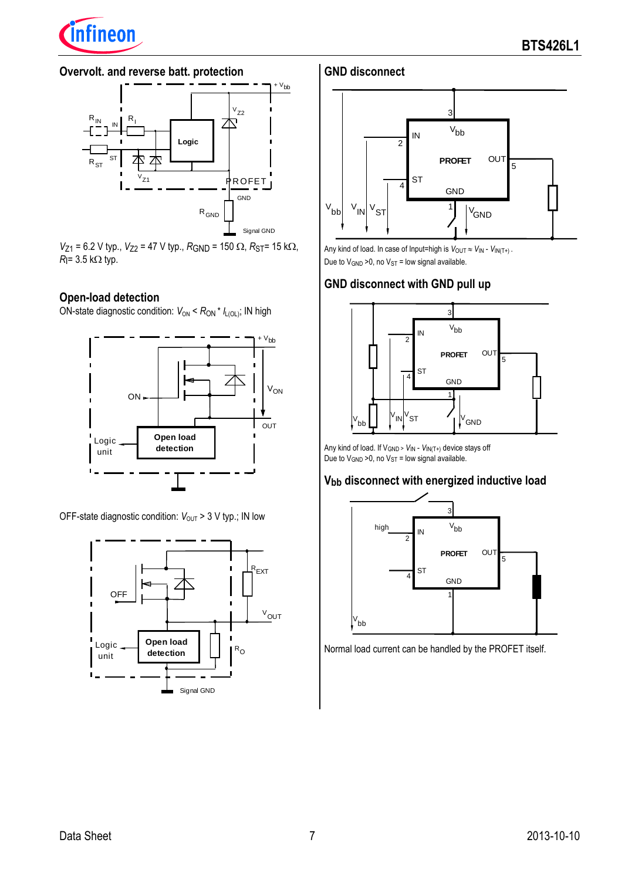

## **Overvolt. and reverse batt. protection**



 $V_{Z1}$  = 6.2 V typ.,  $V_{Z2}$  = 47 V typ.,  $R_{GND}$  = 150  $\Omega$ ,  $R_{ST}$ = 15 k $\Omega$ ,  $R = 3.5$  k $\Omega$  typ.

## **Open-load detection**

ON-state diagnostic condition:  $V_{ON}$  <  $R_{ON}$  \*  $I_{L(OL)}$ ; IN high



OFF-state diagnostic condition:  $V_{\text{OUT}}$  > 3 V typ.; IN low



## **GND disconnect**



Any kind of load. In case of Input=high is  $V_{\text{OUT}} \approx V_{\text{IN}} - V_{\text{IN}(T+)}$ . Due to  $V_{GND}$  >0, no  $V_{ST}$  = low signal available.

## **GND disconnect with GND pull up**



Any kind of load. If VGND <sup>&</sup>gt; *V*IN - *V*IN(T+) device stays off Due to  $V_{GND}$  >0, no  $V_{ST}$  = low signal available.

## **Vbb disconnect with energized inductive load**



Normal load current can be handled by the PROFET itself.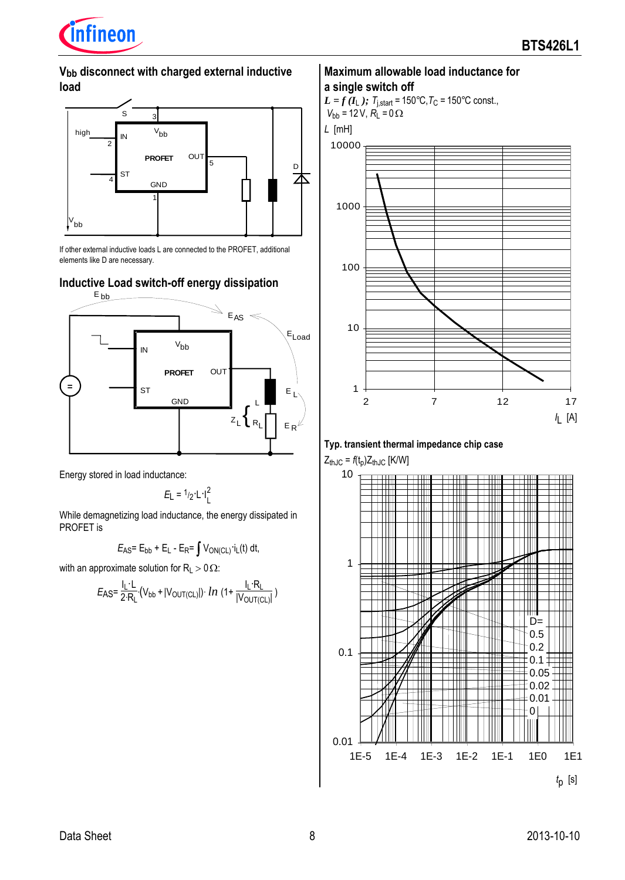

*I*L [A]

## **Vbb disconnect with charged external inductive load**



If other external inductive loads L are connected to the PROFET, additional elements like D are necessary.

## **Inductive Load switch-off energy dissipation**



Energy stored in load inductance:

$$
E_{\rm L} = \frac{1}{2} \cdot L \cdot I_{\rm L}^2
$$

While demagnetizing load inductance, the energy dissipated in PROFET is

$$
E_{\text{AS}}\text{= E}_{\text{bb}}\text{+ E}_{\text{L}}\text{ - E}_{\text{R}}\text{=}\int V_{\text{ON}(\text{CL})}\cdot i_{\text{L}}(t)\ dt,
$$

with an approximate solution for  $R_L > 0 \Omega$ :

$$
E_{\text{AS}} = \frac{I_{\text{L}} \cdot L}{2 \cdot R_{\text{L}}} \cdot (V_{\text{bb}} + |V_{\text{OUT}(\text{CL})}|) \cdot \ln \left(1 + \frac{I_{\text{L}} \cdot R_{\text{L}}}{|V_{\text{OUT}(\text{CL})}|}\right)
$$

# **Maximum allowable load inductance for**





 $Z_{thJC} = f(t_p)Z_{thJC}$  [K/W]

1



2 7 12 17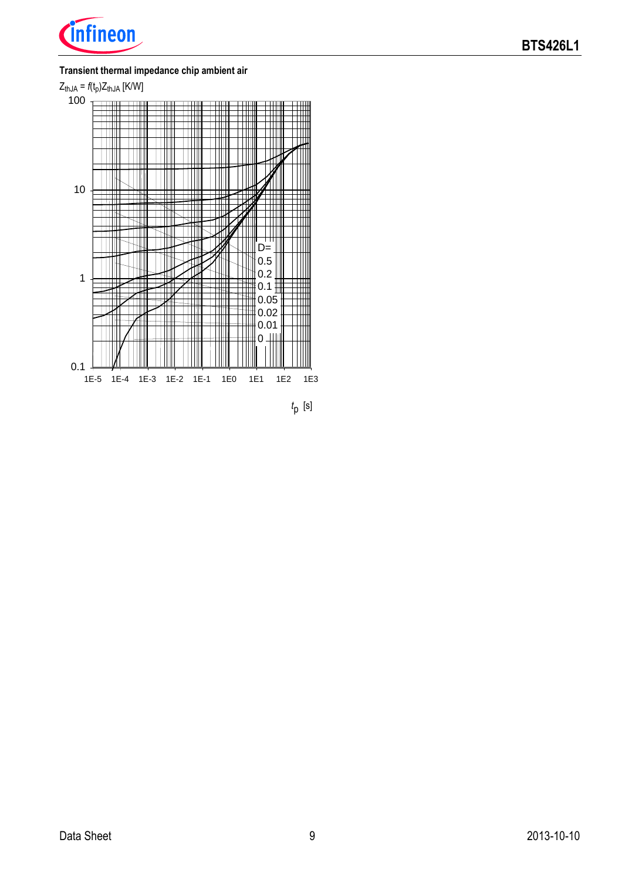

#### **Transient thermal impedance chip ambient air**



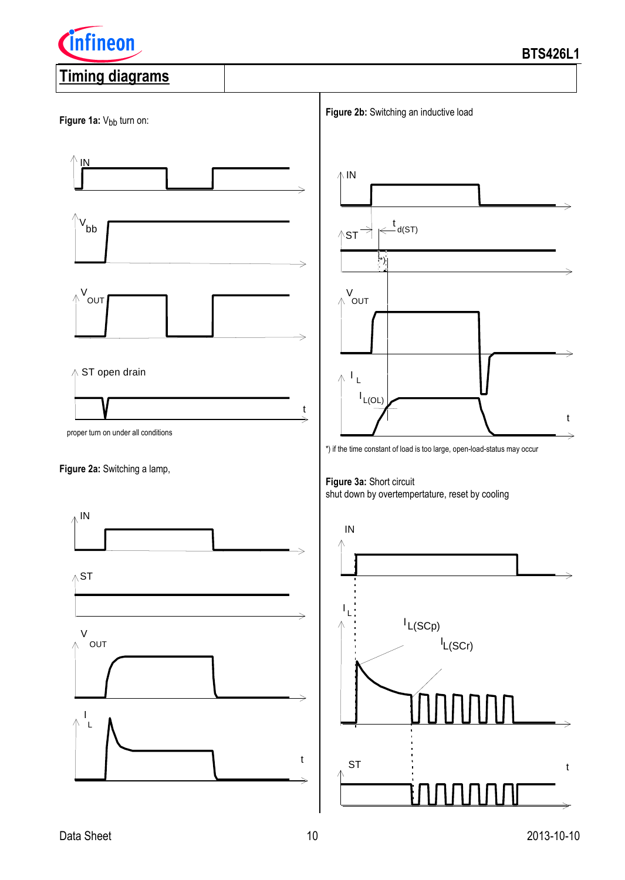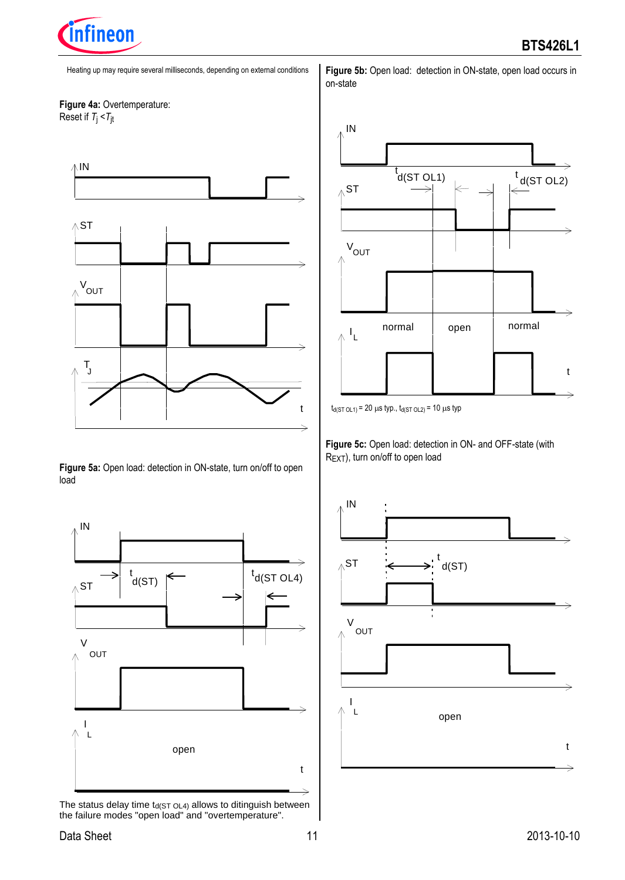

Heating up may require several milliseconds, depending on external conditions



Reset if *T*j <*T*jt



**Figure 5a:** Open load: detection in ON-state, turn on/off to open load



The status delay time  $t<sub>d</sub>(ST OLA)$  allows to ditinguish between the failure modes "open load" and "overtemperature".



Figure 5b: Open load: detection in ON-state, open load occurs in

on-state

**Figure 5c:** Open load: detection in ON- and OFF-state (with REXT), turn on/off to open load



 $t_{d(ST OLI)} = 20 \mu s$  typ.,  $t_{d(ST OL2)} = 10 \mu s$  typ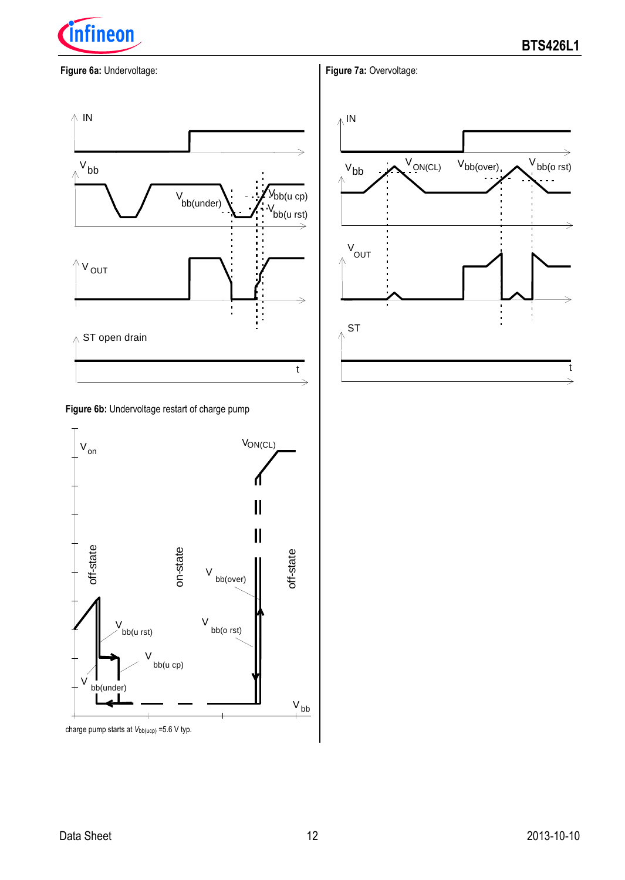

**Figure 6a:** Undervoltage:



**Figure 6b:** Undervoltage restart of charge pump



charge pump starts at  $V_{bb(ucp)}$  =5.6 V typ.



**Figure 7a:** Overvoltage: